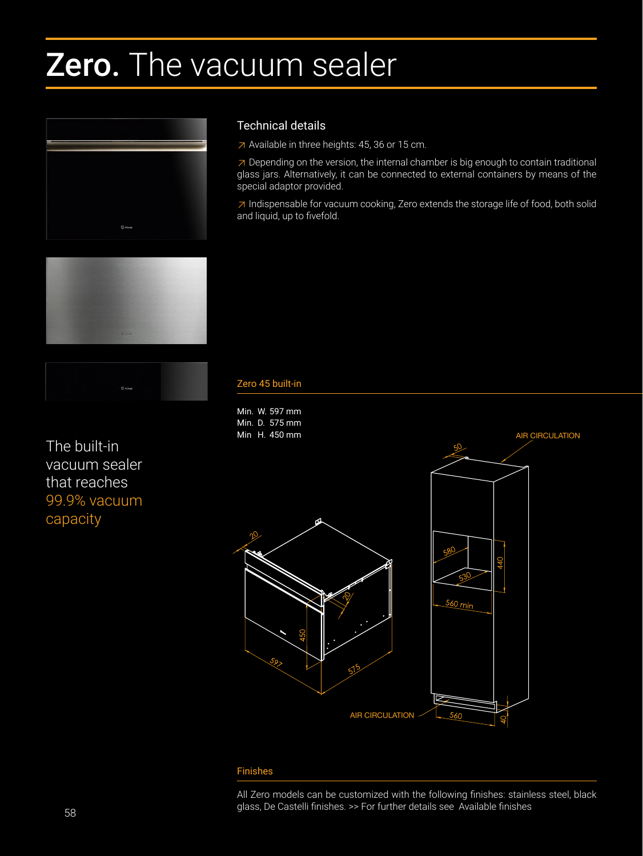# Zero. The vacuum sealer





The built-in vacuum sealer that reaches 99.9% vacuum capacity

## Technical details

≥ Available in three heights: 45, 36 or 15 cm.

 $\overline{\phantom{a}}$  Depending on the version, the internal chamber is big enough to contain traditional glass jars. Alternatively, it can be connected to external containers by means of the special adaptor provided.

≥ Indispensable for vacuum cooking, Zero extends the storage life of food, both solid and liquid, up to fivefold.

### Zero 45 built-in Built-in Zero 36 Built-in Zero 15



#### Finishes

All Zero models can be customized with the following finishes: stainless steel, black glass, De Castelli finishes. >> For further details see Available finishes